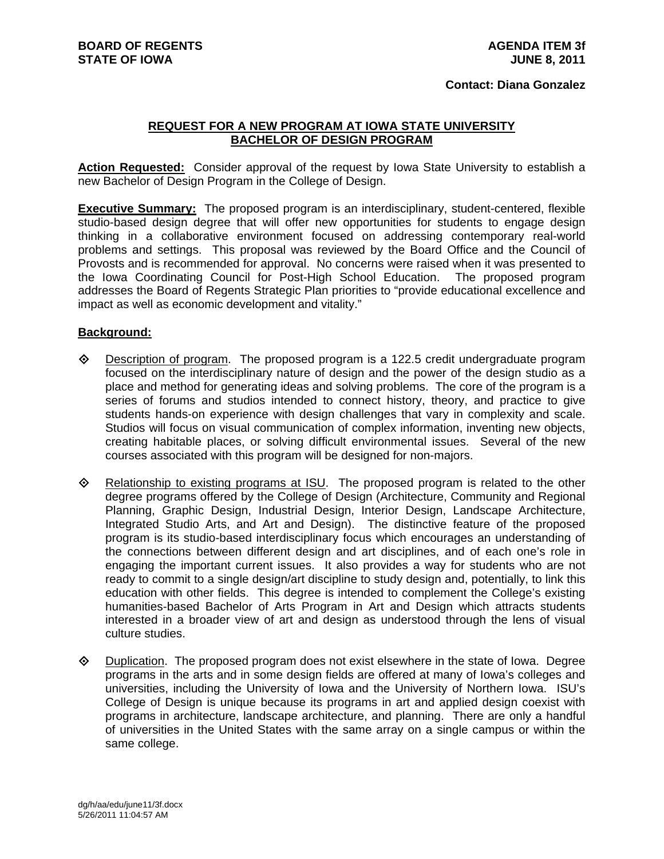## **REQUEST FOR A NEW PROGRAM AT IOWA STATE UNIVERSITY BACHELOR OF DESIGN PROGRAM**

**Action Requested:** Consider approval of the request by Iowa State University to establish a new Bachelor of Design Program in the College of Design.

**Executive Summary:** The proposed program is an interdisciplinary, student-centered, flexible studio-based design degree that will offer new opportunities for students to engage design thinking in a collaborative environment focused on addressing contemporary real-world problems and settings. This proposal was reviewed by the Board Office and the Council of Provosts and is recommended for approval. No concerns were raised when it was presented to the Iowa Coordinating Council for Post-High School Education. The proposed program addresses the Board of Regents Strategic Plan priorities to "provide educational excellence and impact as well as economic development and vitality."

## **Background:**

- $\Diamond$  Description of program. The proposed program is a 122.5 credit undergraduate program focused on the interdisciplinary nature of design and the power of the design studio as a place and method for generating ideas and solving problems. The core of the program is a series of forums and studios intended to connect history, theory, and practice to give students hands-on experience with design challenges that vary in complexity and scale. Studios will focus on visual communication of complex information, inventing new objects, creating habitable places, or solving difficult environmental issues. Several of the new courses associated with this program will be designed for non-majors.
- Relationship to existing programs at ISU. The proposed program is related to the other degree programs offered by the College of Design (Architecture, Community and Regional Planning, Graphic Design, Industrial Design, Interior Design, Landscape Architecture, Integrated Studio Arts, and Art and Design). The distinctive feature of the proposed program is its studio-based interdisciplinary focus which encourages an understanding of the connections between different design and art disciplines, and of each one's role in engaging the important current issues. It also provides a way for students who are not ready to commit to a single design/art discipline to study design and, potentially, to link this education with other fields. This degree is intended to complement the College's existing humanities-based Bachelor of Arts Program in Art and Design which attracts students interested in a broader view of art and design as understood through the lens of visual culture studies.
- $\diamond$  Duplication. The proposed program does not exist elsewhere in the state of lowa. Degree programs in the arts and in some design fields are offered at many of Iowa's colleges and universities, including the University of Iowa and the University of Northern Iowa. ISU's College of Design is unique because its programs in art and applied design coexist with programs in architecture, landscape architecture, and planning. There are only a handful of universities in the United States with the same array on a single campus or within the same college.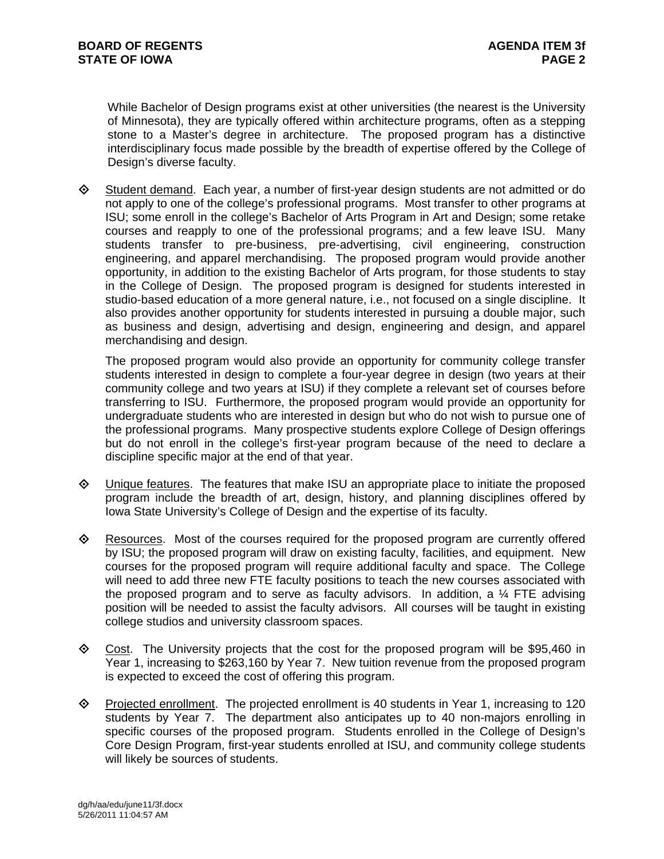While Bachelor of Design programs exist at other universities (the nearest is the University of Minnesota), they are typically offered within architecture programs, often as a stepping stone to a Master's degree in architecture. The proposed program has a distinctive interdisciplinary focus made possible by the breadth of expertise offered by the College of Design's diverse faculty.

 $\diamond$  Student demand. Each year, a number of first-year design students are not admitted or do not apply to one of the college's professional programs. Most transfer to other programs at ISU; some enroll in the college's Bachelor of Arts Program in Art and Design; some retake courses and reapply to one of the professional programs; and a few leave ISU. Many students transfer to pre-business, pre-advertising, civil engineering, construction engineering, and apparel merchandising. The proposed program would provide another opportunity, in addition to the existing Bachelor of Arts program, for those students to stay in the College of Design. The proposed program is designed for students interested in studio-based education of a more general nature, i.e., not focused on a single discipline. It also provides another opportunity for students interested in pursuing a double major, such as business and design, advertising and design, engineering and design, and apparel merchandising and design.

The proposed program would also provide an opportunity for community college transfer students interested in design to complete a four-year degree in design (two years at their community college and two years at ISU) if they complete a relevant set of courses before transferring to ISU. Furthermore, the proposed program would provide an opportunity for undergraduate students who are interested in design but who do not wish to pursue one of the professional programs. Many prospective students explore College of Design offerings but do not enroll in the college's first-year program because of the need to declare a discipline specific major at the end of that year.

- $\Diamond$  Unique features. The features that make ISU an appropriate place to initiate the proposed program include the breadth of art, design, history, and planning disciplines offered by Iowa State University's College of Design and the expertise of its faculty.
- $\Diamond$  Resources. Most of the courses required for the proposed program are currently offered by ISU; the proposed program will draw on existing faculty, facilities, and equipment. New courses for the proposed program will require additional faculty and space. The College will need to add three new FTE faculty positions to teach the new courses associated with the proposed program and to serve as faculty advisors. In addition, a ¼ FTE advising position will be needed to assist the faculty advisors. All courses will be taught in existing college studios and university classroom spaces.
- $\Diamond$  Cost. The University projects that the cost for the proposed program will be \$95,460 in Year 1, increasing to \$263,160 by Year 7. New tuition revenue from the proposed program is expected to exceed the cost of offering this program.
- Projected enrollment. The projected enrollment is 40 students in Year 1, increasing to 120 students by Year 7. The department also anticipates up to 40 non-majors enrolling in specific courses of the proposed program. Students enrolled in the College of Design's Core Design Program, first-year students enrolled at ISU, and community college students will likely be sources of students.